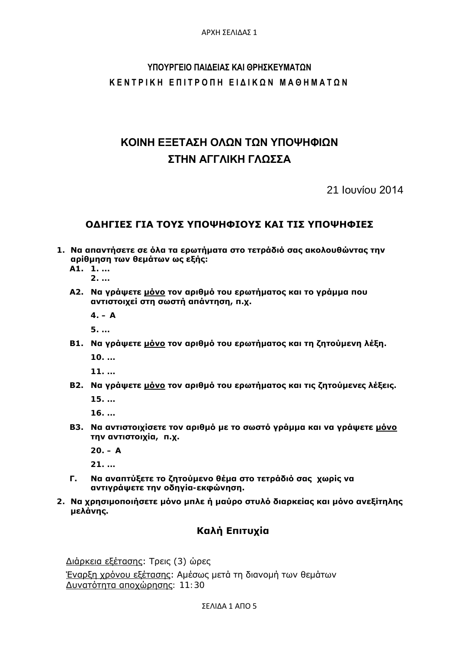# **ΥΠΟΥΡΓΕΙΟ ΠΑΙΔΕΙΑΣ ΚΑΙ ΘΡΗΣΚΕΥΜΑΤΩΝ ΚΕΝΤΡΙΚΗ ΕΠΙΤΡΟΠΗ ΕΙΔΙΚΩΝ ΜΑΘΗΜΑΤΩΝ**

# **ΚΟΙΝΗ ΕΞΕΤΑΣΗ ΟΛΩΝ ΤΩΝ ΥΠΟΨΗΦΙΩΝ ΣΤΗΝ ΑΓΓΛΙΚΗ ΓΛΩΣΣΑ**

21 Ιουνίου 2014

## **ΟΔΗΓΙΕΣ ΓΙΑ ΤΟΥΣ ΥΠΟΨΗΦΙΟΥΣ ΚΑΙ ΤΙΣ ΥΠΟΨΗΦΙΕΣ**

- **1. Να απαντήσετε σε όλα τα ερωτήματα στο τετράδιό σας ακολουθώντας την αρίθμηση των θεμάτων ως εξής:**
	- **Α1. 1. ... 2. ...**
	- **Α2. Να γράψετε μόνο τον αριθμό του ερωτήματος και το γράμμα που αντιστοιχεί στη σωστή απάντηση, π.χ.** 
		- **4. – A**

**5. ...**

**Β1. Να γράψετε μόνο τον αριθμό του ερωτήματος και τη ζητούμενη λέξη.**

**10. ...**

**11. ...**

**Β2. Να γράψετε μόνο τον αριθμό του ερωτήματος και τις ζητούμενες λέξεις.**

**15. ...**

**16. ...**

**Β3. Να αντιστοιχίσετε τον αριθμό με το σωστό γράμμα και να γράψετε μόνο την αντιστοιχία, π.χ.** 

**20. – Α**

**21. ...**

- **Γ. Να αναπτύξετε το ζητούμενο θέμα στο τετράδιό σας χωρίς να αντιγράψετε την οδηγία-εκφώνηση.**
- **2. Να χρησιμοποιήσετε μόνο μπλε ή μαύρο στυλό διαρκείας και μόνο ανεξίτηλης μελάνης.**

# **Καλή Επιτυχία**

Διάρκεια εξέτασης: Τρεις (3) ώρες Έναρξη χρόνου εξέτασης: Αμέσως μετά τη διανομή των θεμάτων Δυνατότητα αποχώρησης: 11:30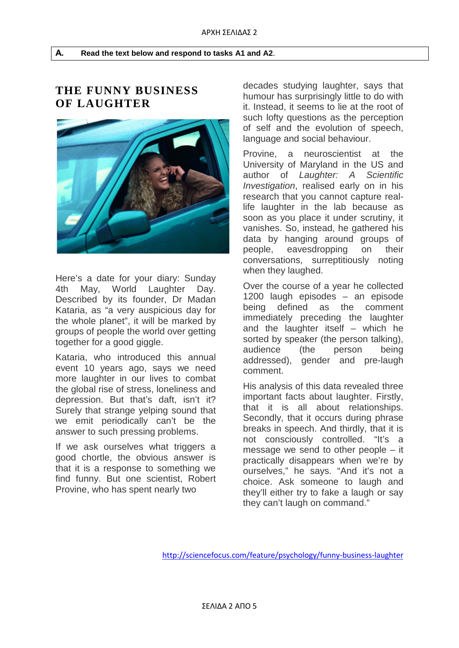# **THE FUNNY BUSINESS OF LAUGHTER**



Here's a date for your diary: Sunday 4th May, World Laughter Day. Described by its founder, Dr Madan Kataria, as "a very auspicious day for the whole planet", it will be marked by groups of people the world over getting together for a good giggle.

Kataria, who introduced this annual event 10 years ago, says we need more laughter in our lives to combat the global rise of stress, loneliness and depression. But that's daft, isn't it? Surely that strange yelping sound that we emit periodically can't be the answer to such pressing problems.

If we ask ourselves what triggers a good chortle, the obvious answer is that it is a response to something we find funny. But one scientist, Robert Provine, who has spent nearly two

decades studying laughter, says that humour has surprisingly little to do with it. Instead, it seems to lie at the root of such lofty questions as the perception of self and the evolution of speech, language and social behaviour.

Provine, a neuroscientist at the University of Maryland in the US and author of *Laughter: A Scientific Investigation*, realised early on in his research that you cannot capture reallife laughter in the lab because as soon as you place it under scrutiny, it vanishes. So, instead, he gathered his data by hanging around groups of people, eavesdropping on their conversations, surreptitiously noting when they laughed.

Over the course of a year he collected 1200 laugh episodes – an episode being defined as the comment immediately preceding the laughter and the laughter itself – which he sorted by speaker (the person talking), audience (the person being addressed), gender and pre-laugh comment.

His analysis of this data revealed three important facts about laughter. Firstly, that it is all about relationships. Secondly, that it occurs during phrase breaks in speech. And thirdly, that it is not consciously controlled. "It's a message we send to other people – it practically disappears when we're by ourselves," he says. "And it's not a choice. Ask someone to laugh and they'll either try to fake a laugh or say they can't laugh on command."

<http://sciencefocus.com/feature/psychology/funny-business-laughter>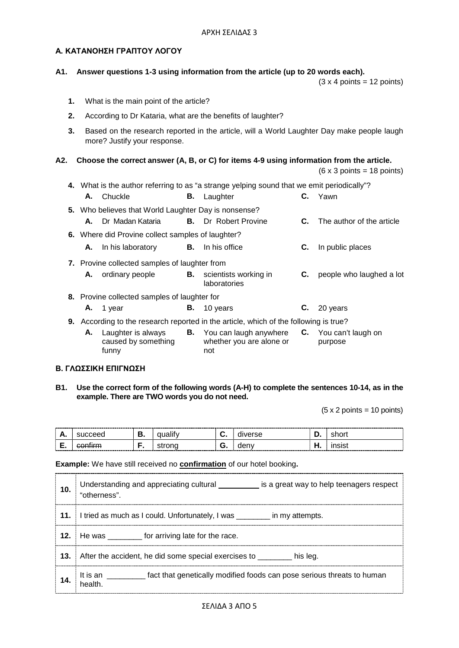### **Α. ΚΑΤΑΝΟΗΣΗ ΓΡΑΠΤΟΥ ΛΟΓΟΥ**

#### **A1. Answer questions 1-3 using information from the article (up to 20 words each).**

 $(3 \times 4 \text{ points} = 12 \text{ points})$ 

- **1.** What is the main point of the article?
- **2.** According to Dr Kataria, what are the benefits of laughter?
- **3.** Based on the research reported in the article, will a World Laughter Day make people laugh more? Justify your response.

#### **A2. Choose the correct answer (A, B, or C) for items 4-9 using information from the article.**

 $(6 \times 3 \text{ points} = 18 \text{ points})$ 

| 4. What is the author referring to as "a strange yelping sound that we emit periodically"? |                                                   |                                                      |    |                                                                                                  |    |                           |
|--------------------------------------------------------------------------------------------|---------------------------------------------------|------------------------------------------------------|----|--------------------------------------------------------------------------------------------------|----|---------------------------|
|                                                                                            |                                                   | A. Chuckle                                           | В. | Laughter                                                                                         |    | C. Yawn                   |
|                                                                                            |                                                   | 5. Who believes that World Laughter Day is nonsense? |    |                                                                                                  |    |                           |
|                                                                                            | А.                                                | Dr Madan Kataria                                     |    | <b>B.</b> Dr Robert Provine                                                                      | C. | The author of the article |
|                                                                                            | 6. Where did Provine collect samples of laughter? |                                                      |    |                                                                                                  |    |                           |
|                                                                                            |                                                   | <b>A.</b> In his laboratory                          |    | <b>B.</b> In his office                                                                          | C. | In public places          |
|                                                                                            | 7. Provine collected samples of laughter from     |                                                      |    |                                                                                                  |    |                           |
|                                                                                            | Α.                                                | ordinary people                                      | В. | scientists working in<br>laboratories                                                            | C. | people who laughed a lot  |
|                                                                                            | 8. Provine collected samples of laughter for      |                                                      |    |                                                                                                  |    |                           |
|                                                                                            |                                                   | A. 1 year                                            | В. | 10 years                                                                                         |    | $C.$ 20 years             |
| 9. According to the research reported in the article, which of the following is true?      |                                                   |                                                      |    |                                                                                                  |    |                           |
|                                                                                            | А.                                                | Laughter is always<br>caused by something<br>funny   |    | <b>B.</b> You can laugh anywhere <b>C.</b> You can't laugh on<br>whether you are alone or<br>not |    | purpose                   |

#### **Β. ΓΛΩΣΣΙΚΗ ΕΠΙΓΝΩΣΗ**

#### **B1. Use the correct form of the following words (A-H) to complete the sentences 10-14, as in the example. There are TWO words you do not need.**

 $(5 \times 2 \text{ points} = 10 \text{ points})$ 

| ----------<br><u>љ.</u> |                        | ______<br>- | <br>∽<br>$\tilde{\phantom{a}}$ |     |                          |
|-------------------------|------------------------|-------------|--------------------------------|-----|--------------------------|
| -<br>. .                | rm<br><del>oommm</del> |             | -<br>٠<br>. .                  | uvi | .<br>------------------- |

**Example:** We have still received no **confirmation** of our hotel booking**.**

| 10. | Understanding and appreciating cultural __________ is a great way to help teenagers respect<br>"otherness". |
|-----|-------------------------------------------------------------------------------------------------------------|
|     | I tried as much as I could. Unfortunately, I was ________ in my attempts.                                   |
|     | He was __________ for arriving late for the race.                                                           |
| 13. | After the accident, he did some special exercises to ________<br>his leg.                                   |
|     | It is an _________ fact that genetically modified foods can pose serious threats to human<br>I health.      |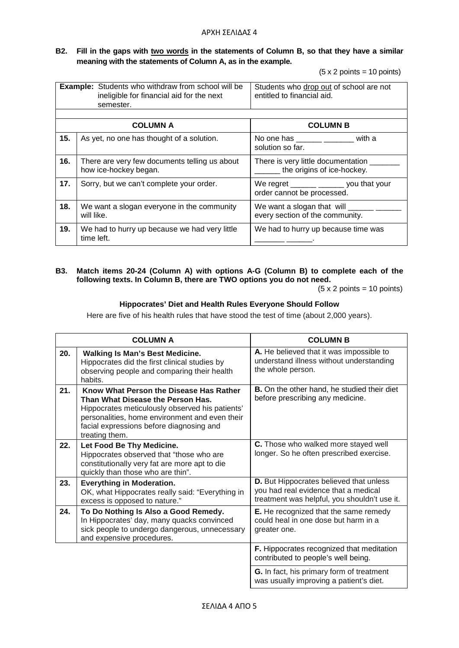#### **B2. Fill in the gaps with two words in the statements of Column B, so that they have a similar meaning with the statements of Column A, as in the example.**

 $(5 \times 2 \text{ points} = 10 \text{ points})$ 

|     | <b>Example:</b> Students who withdraw from school will be<br>ineligible for financial aid for the next<br>semester. | Students who drop out of school are not<br>entitled to financial aid.                                                       |
|-----|---------------------------------------------------------------------------------------------------------------------|-----------------------------------------------------------------------------------------------------------------------------|
|     | <b>COLUMN A</b>                                                                                                     | <b>COLUMN B</b>                                                                                                             |
| 15. | As yet, no one has thought of a solution.                                                                           | No one has _______ ______ with a<br>solution so far.                                                                        |
| 16. | There are very few documents telling us about<br>how ice-hockey began.                                              | There is very little documentation<br>the origins of ice-hockey.                                                            |
| 17. | Sorry, but we can't complete your order.                                                                            | We regret $\frac{1}{\sqrt{1-\frac{1}{2}} \cdot \frac{1}{\sqrt{1-\frac{1}{2}}}}$ you that your<br>order cannot be processed. |
| 18. | We want a slogan everyone in the community<br>will like.                                                            | every section of the community.                                                                                             |
| 19. | We had to hurry up because we had very little<br>time left.                                                         | We had to hurry up because time was                                                                                         |

#### **B3. Match items 20-24 (Column A) with options A-G (Column B) to complete each of the following texts. In Column B, there are TWO options you do not need.**

(5 x 2 points = 10 points)

#### **Hippocrates' Diet and Health Rules Everyone Should Follow**

Here are five of his health rules that have stood the test of time (about 2,000 years).

|     | <b>COLUMN A</b>                                                                                                                                                                                                                                 | <b>COLUMN B</b>                                                                                                                 |
|-----|-------------------------------------------------------------------------------------------------------------------------------------------------------------------------------------------------------------------------------------------------|---------------------------------------------------------------------------------------------------------------------------------|
| 20. | <b>Walking Is Man's Best Medicine.</b><br>Hippocrates did the first clinical studies by<br>observing people and comparing their health<br>habits.                                                                                               | A. He believed that it was impossible to<br>understand illness without understanding<br>the whole person.                       |
| 21. | Know What Person the Disease Has Rather<br>Than What Disease the Person Has.<br>Hippocrates meticulously observed his patients'<br>personalities, home environment and even their<br>facial expressions before diagnosing and<br>treating them. | <b>B.</b> On the other hand, he studied their diet<br>before prescribing any medicine.                                          |
| 22. | Let Food Be Thy Medicine.<br>Hippocrates observed that "those who are<br>constitutionally very fat are more apt to die<br>quickly than those who are thin".                                                                                     | C. Those who walked more stayed well<br>longer. So he often prescribed exercise.                                                |
| 23. | <b>Everything in Moderation.</b><br>OK, what Hippocrates really said: "Everything in<br>excess is opposed to nature."                                                                                                                           | D. But Hippocrates believed that unless<br>you had real evidence that a medical<br>treatment was helpful, you shouldn't use it. |
| 24. | To Do Nothing Is Also a Good Remedy.<br>In Hippocrates' day, many quacks convinced<br>sick people to undergo dangerous, unnecessary<br>and expensive procedures.                                                                                | <b>E.</b> He recognized that the same remedy<br>could heal in one dose but harm in a<br>greater one.                            |
|     |                                                                                                                                                                                                                                                 | F. Hippocrates recognized that meditation<br>contributed to people's well being.                                                |
|     |                                                                                                                                                                                                                                                 | G. In fact, his primary form of treatment<br>was usually improving a patient's diet.                                            |